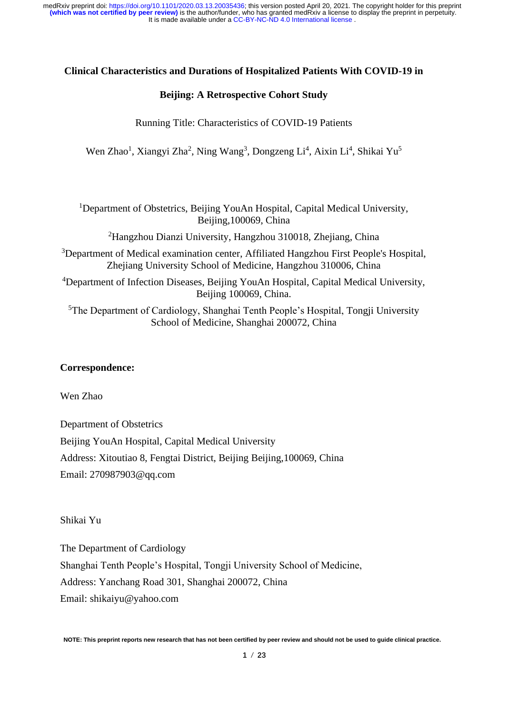# **Clinical Characteristics and Durations of Hospitalized Patients With COVID-19 in**

## **Beijing: A Retrospective Cohort Study**

Running Title: Characteristics of COVID-19 Patients

Wen Zhao<sup>1</sup>, Xiangyi Zha<sup>2</sup>, Ning Wang<sup>3</sup>, Dongzeng Li<sup>4</sup>, Aixin Li<sup>4</sup>, Shikai Yu<sup>5</sup>

<sup>1</sup>Department of Obstetrics, Beijing YouAn Hospital, Capital Medical University, Beijing,100069, China

<sup>2</sup>Hangzhou Dianzi University, Hangzhou 310018, Zhejiang, China

<sup>3</sup>Department of Medical examination center, Affiliated Hangzhou First People's Hospital, Zheijang University School of Medicine, Hangzhou 310006, China

<sup>4</sup>Department of Infection Diseases, Beijing YouAn Hospital, Capital Medical University, Beijing 100069, China.

<sup>5</sup>The Department of Cardiology, Shanghai Tenth People's Hospital, Tongji University School of Medicine, Shanghai 200072, China

## **Correspondence:**

Wen Zhao

Department of Obstetrics Beijing YouAn Hospital, Capital Medical University Address: Xitoutiao 8, Fengtai District, Beijing Beijing,100069, China Email: 270987903@qq.com

Shikai Yu

The Department of Cardiology Shanghai Tenth People's Hospital, Tongji University School of Medicine, Address: Yanchang Road 301, Shanghai 200072, China Email: shikaiyu@yahoo.com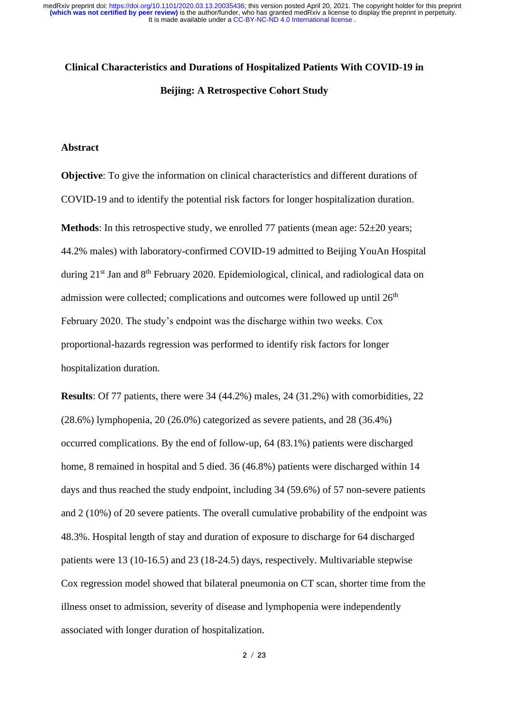# **Clinical Characteristics and Durations of Hospitalized Patients With COVID-19 in Beijing: A Retrospective Cohort Study**

#### **Abstract**

**Objective**: To give the information on clinical characteristics and different durations of COVID-19 and to identify the potential risk factors for longer hospitalization duration.

**Methods**: In this retrospective study, we enrolled 77 patients (mean age:  $52\pm20$  years; 44.2% males) with laboratory-confirmed COVID-19 admitted to Beijing YouAn Hospital during 21<sup>st</sup> Jan and 8<sup>th</sup> February 2020. Epidemiological, clinical, and radiological data on admission were collected; complications and outcomes were followed up until  $26<sup>th</sup>$ February 2020. The study's endpoint was the discharge within two weeks. Cox proportional-hazards regression was performed to identify risk factors for longer hospitalization duration.

**Results**: Of 77 patients, there were 34 (44.2%) males, 24 (31.2%) with comorbidities, 22 (28.6%) lymphopenia, 20 (26.0%) categorized as severe patients, and 28 (36.4%) occurred complications. By the end of follow-up, 64 (83.1%) patients were discharged home, 8 remained in hospital and 5 died. 36 (46.8%) patients were discharged within 14 days and thus reached the study endpoint, including 34 (59.6%) of 57 non-severe patients and 2 (10%) of 20 severe patients. The overall cumulative probability of the endpoint was 48.3%. Hospital length of stay and duration of exposure to discharge for 64 discharged patients were 13 (10-16.5) and 23 (18-24.5) days, respectively. Multivariable stepwise Cox regression model showed that bilateral pneumonia on CT scan, shorter time from the illness onset to admission, severity of disease and lymphopenia were independently associated with longer duration of hospitalization.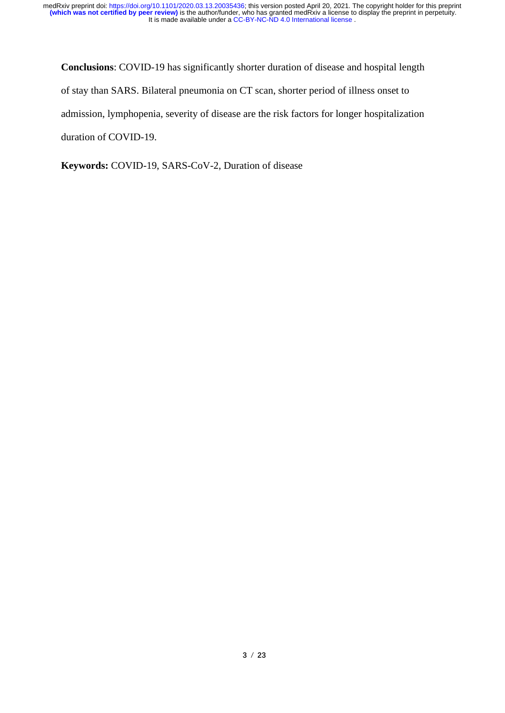**Conclusions**: COVID-19 has significantly shorter duration of disease and hospital length of stay than SARS. Bilateral pneumonia on CT scan, shorter period of illness onset to admission, lymphopenia, severity of disease are the risk factors for longer hospitalization duration of COVID-19.

**Keywords:** COVID-19, SARS-CoV-2, Duration of disease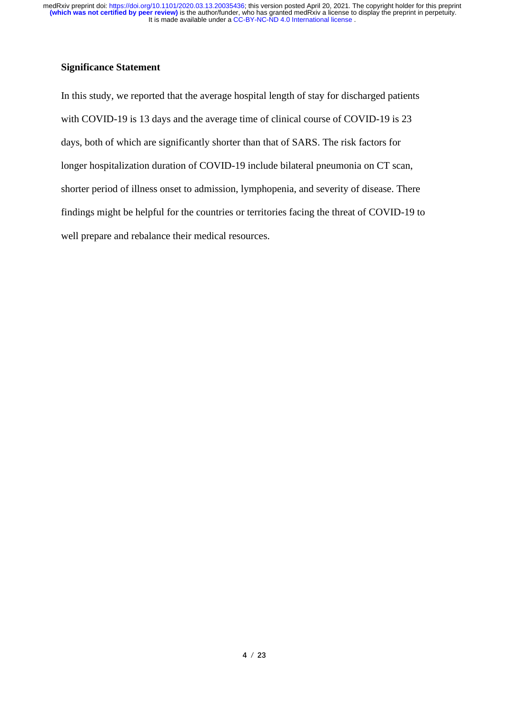# **Significance Statement**

In this study, we reported that the average hospital length of stay for discharged patients with COVID-19 is 13 days and the average time of clinical course of COVID-19 is 23 days, both of which are significantly shorter than that of SARS. The risk factors for longer hospitalization duration of COVID-19 include bilateral pneumonia on CT scan, shorter period of illness onset to admission, lymphopenia, and severity of disease. There findings might be helpful for the countries or territories facing the threat of COVID-19 to well prepare and rebalance their medical resources.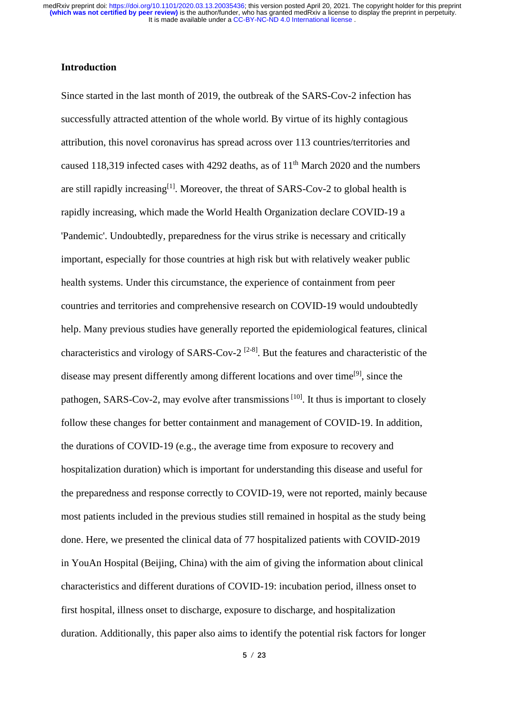# **Introduction**

Since started in the last month of 2019, the outbreak of the SARS-Cov-2 infection has successfully attracted attention of the whole world. By virtue of its highly contagious attribution, this novel coronavirus has spread across over 113 countries/territories and caused 118,319 infected cases with 4292 deaths, as of  $11<sup>th</sup>$  March 2020 and the numbers are still rapidly increasing $^{[1]}$  $^{[1]}$  $^{[1]}$ . Moreover, the threat of SARS-Cov-2 to global health is rapidly increasing, which made the World Health Organization declare COVID-19 a 'Pandemic'. Undoubtedly, preparedness for the virus strike is necessary and critically important, especially for those countries at high risk but with relatively weaker public health systems. Under this circumstance, the experience of containment from peer countries and territories and comprehensive research on COVID-19 would undoubtedly help. Many previous studies have generally reported the epidemiological features, clinical characteristics and virology of SARS-Cov-2<sup>[\[2-8\]](#page-13-1)</sup>. But the features and characteristic of the disease may present differently among different locations and over time<sup>[\[9\]](#page-13-2)</sup>, since the pathogen, SARS-Cov-2, may evolve after transmissions<sup>[\[10\]](#page-13-3)</sup>. It thus is important to closely follow these changes for better containment and management of COVID-19. In addition, the durations of COVID-19 (e.g., the average time from exposure to recovery and hospitalization duration) which is important for understanding this disease and useful for the preparedness and response correctly to COVID-19, were not reported, mainly because most patients included in the previous studies still remained in hospital as the study being done. Here, we presented the clinical data of 77 hospitalized patients with COVID-2019 in YouAn Hospital (Beijing, China) with the aim of giving the information about clinical characteristics and different durations of COVID-19: incubation period, illness onset to first hospital, illness onset to discharge, exposure to discharge, and hospitalization duration. Additionally, this paper also aims to identify the potential risk factors for longer

**5** / **23**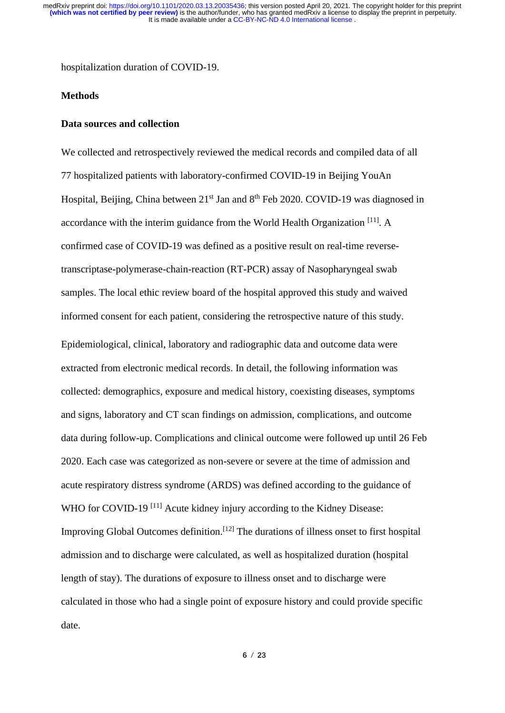hospitalization duration of COVID-19.

# **Methods**

#### **Data sources and collection**

We collected and retrospectively reviewed the medical records and compiled data of all 77 hospitalized patients with laboratory-confirmed COVID-19 in Beijing YouAn Hospital, Beijing, China between 21<sup>st</sup> Jan and 8<sup>th</sup> Feb 2020. COVID-19 was diagnosed in accordance with the interim guidance from the World Health Organization<sup>[\[11\]](#page-13-4)</sup>. A confirmed case of COVID-19 was defined as a positive result on real-time reversetranscriptase-polymerase-chain-reaction (RT-PCR) assay of Nasopharyngeal swab samples. The local ethic review board of the hospital approved this study and waived informed consent for each patient, considering the retrospective nature of this study. Epidemiological, clinical, laboratory and radiographic data and outcome data were extracted from electronic medical records. In detail, the following information was collected: demographics, exposure and medical history, coexisting diseases, symptoms and signs, laboratory and CT scan findings on admission, complications, and outcome data during follow-up. Complications and clinical outcome were followed up until 26 Feb 2020. Each case was categorized as non-severe or severe at the time of admission and acute respiratory distress syndrome (ARDS) was defined according to the guidance of WHO for COVID-19<sup>[\[11\]](#page-13-4)</sup> Acute kidney injury according to the Kidney Disease: Improving Global Outcomes definition.<sup>[\[12\]](#page-13-5)</sup> The durations of illness onset to first hospital admission and to discharge were calculated, as well as hospitalized duration (hospital length of stay). The durations of exposure to illness onset and to discharge were calculated in those who had a single point of exposure history and could provide specific date.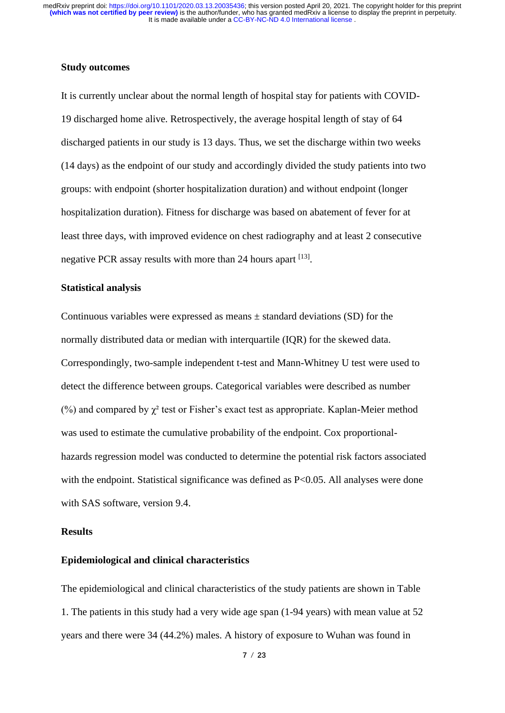# **Study outcomes**

It is currently unclear about the normal length of hospital stay for patients with COVID-19 discharged home alive. Retrospectively, the average hospital length of stay of 64 discharged patients in our study is 13 days. Thus, we set the discharge within two weeks (14 days) as the endpoint of our study and accordingly divided the study patients into two groups: with endpoint (shorter hospitalization duration) and without endpoint (longer hospitalization duration). Fitness for discharge was based on abatement of fever for at least three days, with improved evidence on chest radiography and at least 2 consecutive negative PCR assay results with more than 24 hours apart [\[13\]](#page-13-6).

# **Statistical analysis**

Continuous variables were expressed as means  $\pm$  standard deviations (SD) for the normally distributed data or median with interquartile (IQR) for the skewed data. Correspondingly, two-sample independent t-test and Mann-Whitney U test were used to detect the difference between groups. Categorical variables were described as number (%) and compared by  $χ²$  test or Fisher's exact test as appropriate. Kaplan-Meier method was used to estimate the cumulative probability of the endpoint. Cox proportionalhazards regression model was conducted to determine the potential risk factors associated with the endpoint. Statistical significance was defined as P<0.05. All analyses were done with SAS software, version 9.4.

#### **Results**

# **Epidemiological and clinical characteristics**

The epidemiological and clinical characteristics of the study patients are shown in Table 1. The patients in this study had a very wide age span (1-94 years) with mean value at 52 years and there were 34 (44.2%) males. A history of exposure to Wuhan was found in

**7** / **23**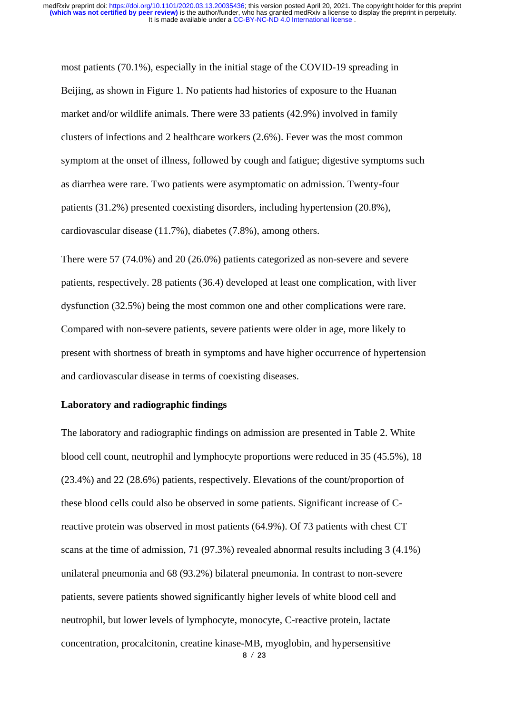most patients (70.1%), especially in the initial stage of the COVID-19 spreading in Beijing, as shown in Figure 1. No patients had histories of exposure to the Huanan market and/or wildlife animals. There were 33 patients (42.9%) involved in family clusters of infections and 2 healthcare workers (2.6%). Fever was the most common symptom at the onset of illness, followed by cough and fatigue; digestive symptoms such as diarrhea were rare. Two patients were asymptomatic on admission. Twenty-four patients (31.2%) presented coexisting disorders, including hypertension (20.8%), cardiovascular disease (11.7%), diabetes (7.8%), among others.

There were 57 (74.0%) and 20 (26.0%) patients categorized as non-severe and severe patients, respectively. 28 patients (36.4) developed at least one complication, with liver dysfunction (32.5%) being the most common one and other complications were rare. Compared with non-severe patients, severe patients were older in age, more likely to present with shortness of breath in symptoms and have higher occurrence of hypertension and cardiovascular disease in terms of coexisting diseases.

# **Laboratory and radiographic findings**

**8** / **23** The laboratory and radiographic findings on admission are presented in Table 2. White blood cell count, neutrophil and lymphocyte proportions were reduced in 35 (45.5%), 18 (23.4%) and 22 (28.6%) patients, respectively. Elevations of the count/proportion of these blood cells could also be observed in some patients. Significant increase of Creactive protein was observed in most patients (64.9%). Of 73 patients with chest CT scans at the time of admission, 71 (97.3%) revealed abnormal results including 3 (4.1%) unilateral pneumonia and 68 (93.2%) bilateral pneumonia. In contrast to non-severe patients, severe patients showed significantly higher levels of white blood cell and neutrophil, but lower levels of lymphocyte, monocyte, C-reactive protein, lactate concentration, procalcitonin, creatine kinase-MB, myoglobin, and hypersensitive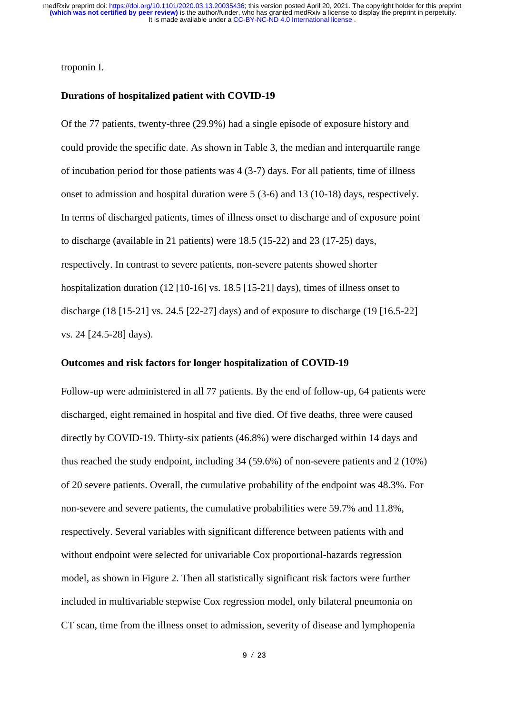# troponin I.

#### **Durations of hospitalized patient with COVID-19**

Of the 77 patients, twenty-three (29.9%) had a single episode of exposure history and could provide the specific date. As shown in Table 3, the median and interquartile range of incubation period for those patients was 4 (3-7) days. For all patients, time of illness onset to admission and hospital duration were 5 (3-6) and 13 (10-18) days, respectively. In terms of discharged patients, times of illness onset to discharge and of exposure point to discharge (available in 21 patients) were 18.5 (15-22) and 23 (17-25) days, respectively. In contrast to severe patients, non-severe patents showed shorter hospitalization duration (12 [10-16] vs. 18.5 [15-21] days), times of illness onset to discharge (18 [15-21] vs. 24.5 [22-27] days) and of exposure to discharge (19 [16.5-22] vs. 24 [24.5-28] days).

#### **Outcomes and risk factors for longer hospitalization of COVID-19**

Follow-up were administered in all 77 patients. By the end of follow-up, 64 patients were discharged, eight remained in hospital and five died. Of five deaths, three were caused directly by COVID-19. Thirty-six patients (46.8%) were discharged within 14 days and thus reached the study endpoint, including 34 (59.6%) of non-severe patients and 2 (10%) of 20 severe patients. Overall, the cumulative probability of the endpoint was 48.3%. For non-severe and severe patients, the cumulative probabilities were 59.7% and 11.8%, respectively. Several variables with significant difference between patients with and without endpoint were selected for univariable Cox proportional-hazards regression model, as shown in Figure 2. Then all statistically significant risk factors were further included in multivariable stepwise Cox regression model, only bilateral pneumonia on CT scan, time from the illness onset to admission, severity of disease and lymphopenia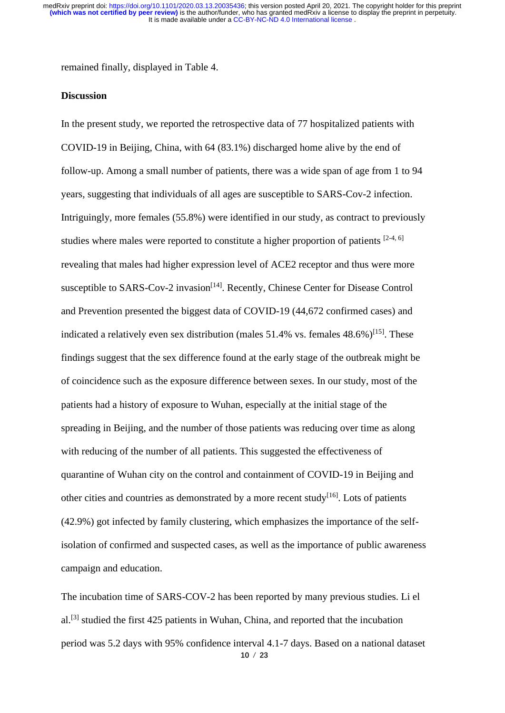remained finally, displayed in Table 4.

# **Discussion**

In the present study, we reported the retrospective data of 77 hospitalized patients with COVID-19 in Beijing, China, with 64 (83.1%) discharged home alive by the end of follow-up. Among a small number of patients, there was a wide span of age from 1 to 94 years, suggesting that individuals of all ages are susceptible to SARS-Cov-2 infection. Intriguingly, more females (55.8%) were identified in our study, as contract to previously studies where males were reported to constitute a higher proportion of patients  $[2-4, 6]$  $[2-4, 6]$ revealing that males had higher expression level of ACE2 receptor and thus were more susceptible to SARS-Cov-2 invasion<sup>[\[14\]](#page-13-8)</sup>. Recently, Chinese Center for Disease Control and Prevention presented the biggest data of COVID-19 (44,672 confirmed cases) and indicated a relatively even sex distribution (males  $51.4\%$  vs. females  $48.6\%$ )<sup>[\[15\]](#page-13-9)</sup>. These findings suggest that the sex difference found at the early stage of the outbreak might be of coincidence such as the exposure difference between sexes. In our study, most of the patients had a history of exposure to Wuhan, especially at the initial stage of the spreading in Beijing, and the number of those patients was reducing over time as along with reducing of the number of all patients. This suggested the effectiveness of quarantine of Wuhan city on the control and containment of COVID-19 in Beijing and other cities and countries as demonstrated by a more recent study<sup>[\[16\]](#page-13-10)</sup>. Lots of patients (42.9%) got infected by family clustering, which emphasizes the importance of the selfisolation of confirmed and suspected cases, as well as the importance of public awareness campaign and education.

**10** / **23** The incubation time of SARS-COV-2 has been reported by many previous studies. Li el  $al$ <sup>[\[3\]](#page-13-11)</sup> studied the first 425 patients in Wuhan, China, and reported that the incubation period was 5.2 days with 95% confidence interval 4.1-7 days. Based on a national dataset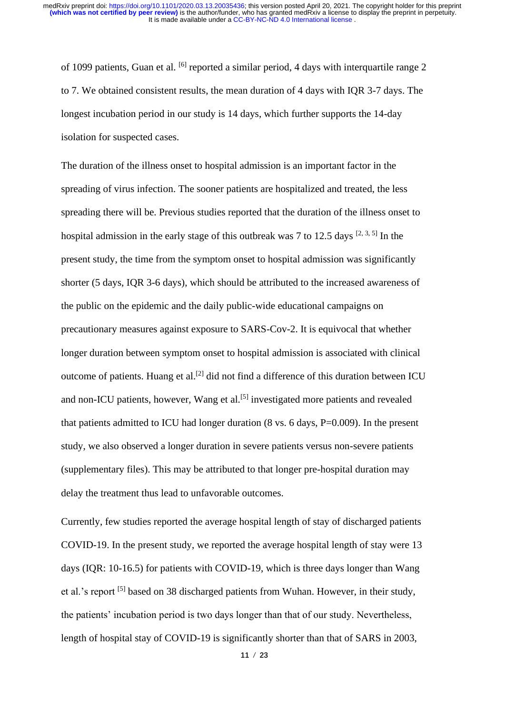of 1099 patients, Guan et al. <sup>[\[6\]](#page-13-7)</sup> reported a similar period, 4 days with interquartile range 2 to 7. We obtained consistent results, the mean duration of 4 days with IQR 3-7 days. The longest incubation period in our study is 14 days, which further supports the 14-day isolation for suspected cases.

The duration of the illness onset to hospital admission is an important factor in the spreading of virus infection. The sooner patients are hospitalized and treated, the less spreading there will be. Previous studies reported that the duration of the illness onset to hospital admission in the early stage of this outbreak was 7 to 12.5 days  $[2, 3, 5]$  $[2, 3, 5]$  $[2, 3, 5]$  In the present study, the time from the symptom onset to hospital admission was significantly shorter (5 days, IQR 3-6 days), which should be attributed to the increased awareness of the public on the epidemic and the daily public-wide educational campaigns on precautionary measures against exposure to SARS-Cov-2. It is equivocal that whether longer duration between symptom onset to hospital admission is associated with clinical outcome of patients. Huang et al.<sup>[\[2\]](#page-13-1)</sup> did not find a difference of this duration between ICU and non-ICU patients, however, Wang et al.<sup>[\[5\]](#page-13-12)</sup> investigated more patients and revealed that patients admitted to ICU had longer duration (8 vs. 6 days, P=0.009). In the present study, we also observed a longer duration in severe patients versus non-severe patients (supplementary files). This may be attributed to that longer pre-hospital duration may delay the treatment thus lead to unfavorable outcomes.

Currently, few studies reported the average hospital length of stay of discharged patients COVID-19. In the present study, we reported the average hospital length of stay were 13 days (IQR: 10-16.5) for patients with COVID-19, which is three days longer than Wang et al.'s report <sup>[\[5\]](#page-13-12)</sup> based on 38 discharged patients from Wuhan. However, in their study, the patients' incubation period is two days longer than that of our study. Nevertheless, length of hospital stay of COVID-19 is significantly shorter than that of SARS in 2003,

**11** / **23**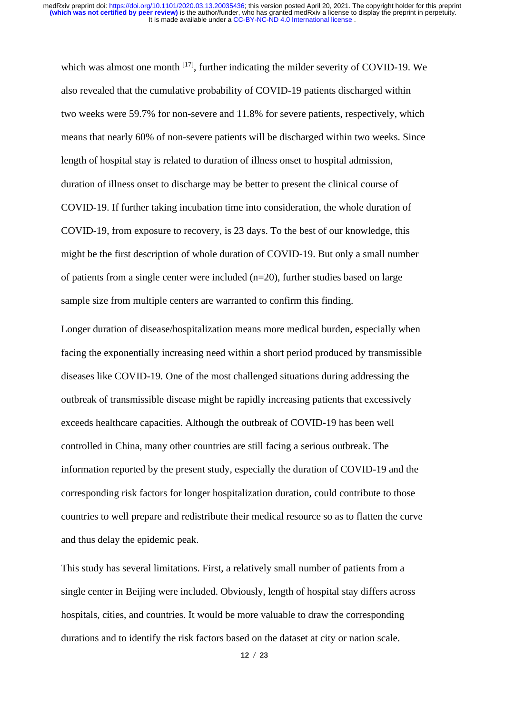which was almost one month  $^{[17]}$  $^{[17]}$  $^{[17]}$ , further indicating the milder severity of COVID-19. We also revealed that the cumulative probability of COVID-19 patients discharged within two weeks were 59.7% for non-severe and 11.8% for severe patients, respectively, which means that nearly 60% of non-severe patients will be discharged within two weeks. Since length of hospital stay is related to duration of illness onset to hospital admission, duration of illness onset to discharge may be better to present the clinical course of COVID-19. If further taking incubation time into consideration, the whole duration of COVID-19, from exposure to recovery, is 23 days. To the best of our knowledge, this might be the first description of whole duration of COVID-19. But only a small number of patients from a single center were included (n=20), further studies based on large sample size from multiple centers are warranted to confirm this finding.

Longer duration of disease/hospitalization means more medical burden, especially when facing the exponentially increasing need within a short period produced by transmissible diseases like COVID-19. One of the most challenged situations during addressing the outbreak of transmissible disease might be rapidly increasing patients that excessively exceeds healthcare capacities. Although the outbreak of COVID-19 has been well controlled in China, many other countries are still facing a serious outbreak. The information reported by the present study, especially the duration of COVID-19 and the corresponding risk factors for longer hospitalization duration, could contribute to those countries to well prepare and redistribute their medical resource so as to flatten the curve and thus delay the epidemic peak.

This study has several limitations. First, a relatively small number of patients from a single center in Beijing were included. Obviously, length of hospital stay differs across hospitals, cities, and countries. It would be more valuable to draw the corresponding durations and to identify the risk factors based on the dataset at city or nation scale.

**12** / **23**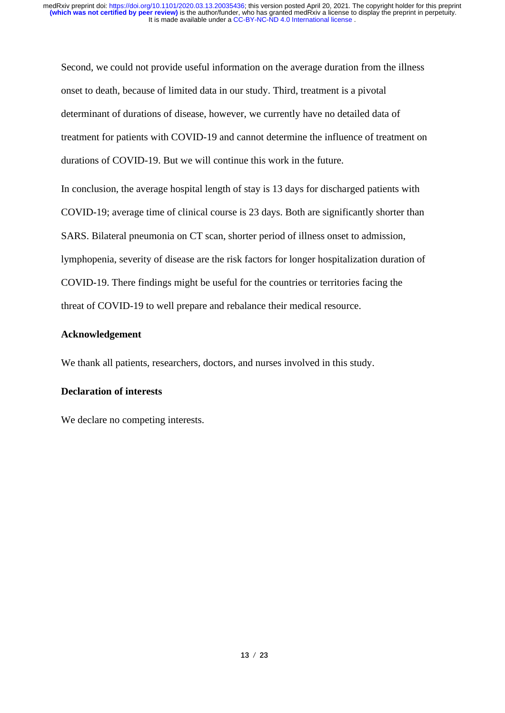Second, we could not provide useful information on the average duration from the illness onset to death, because of limited data in our study. Third, treatment is a pivotal determinant of durations of disease, however, we currently have no detailed data of treatment for patients with COVID-19 and cannot determine the influence of treatment on durations of COVID-19. But we will continue this work in the future.

In conclusion, the average hospital length of stay is 13 days for discharged patients with COVID-19; average time of clinical course is 23 days. Both are significantly shorter than SARS. Bilateral pneumonia on CT scan, shorter period of illness onset to admission, lymphopenia, severity of disease are the risk factors for longer hospitalization duration of COVID-19. There findings might be useful for the countries or territories facing the threat of COVID-19 to well prepare and rebalance their medical resource.

# **Acknowledgement**

We thank all patients, researchers, doctors, and nurses involved in this study.

# **Declaration of interests**

We declare no competing interests.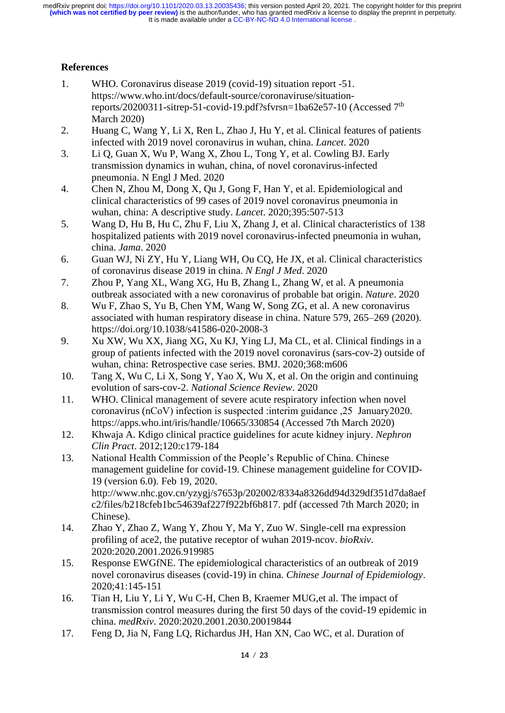# **References**

- <span id="page-13-0"></span>1. WHO. Coronavirus disease 2019 (covid-19) situation report -51. https://www.who.int/docs/default-source/coronaviruse/situationreports/20200311-sitrep-51-covid-19.pdf?sfvrsn=1ba62e57-10 (Accessed 7<sup>th</sup>) March 2020)
- <span id="page-13-1"></span>2. Huang C, Wang Y, Li X, Ren L, Zhao J, Hu Y, et al. Clinical features of patients infected with 2019 novel coronavirus in wuhan, china. *Lancet*. 2020
- <span id="page-13-11"></span>3. Li Q, Guan X, Wu P, Wang X, Zhou L, Tong Y, et al. Cowling BJ. Early transmission dynamics in wuhan, china, of novel coronavirus-infected pneumonia. N Engl J Med. 2020
- 4. Chen N, Zhou M, Dong X, Qu J, Gong F, Han Y, et al. Epidemiological and clinical characteristics of 99 cases of 2019 novel coronavirus pneumonia in wuhan, china: A descriptive study. *Lancet*. 2020;395:507-513
- <span id="page-13-12"></span>5. Wang D, Hu B, Hu C, Zhu F, Liu X, Zhang J, et al. Clinical characteristics of 138 hospitalized patients with 2019 novel coronavirus-infected pneumonia in wuhan, china. *Jama*. 2020
- <span id="page-13-7"></span>6. Guan WJ, Ni ZY, Hu Y, Liang WH, Ou CQ, He JX, et al. Clinical characteristics of coronavirus disease 2019 in china. *N Engl J Med*. 2020
- 7. Zhou P, Yang XL, Wang XG, Hu B, Zhang L, Zhang W, et al. A pneumonia outbreak associated with a new coronavirus of probable bat origin. *Nature*. 2020
- 8. Wu F, Zhao S, Yu B, Chen YM, Wang W, Song ZG, et al. A new coronavirus associated with human respiratory disease in china. Nature 579, 265–269 (2020). https://doi.org/10.1038/s41586-020-2008-3
- <span id="page-13-2"></span>9. Xu XW, Wu XX, Jiang XG, Xu KJ, Ying LJ, Ma CL, et al. Clinical findings in a group of patients infected with the 2019 novel coronavirus (sars-cov-2) outside of wuhan, china: Retrospective case series. BMJ. 2020;368:m606
- <span id="page-13-3"></span>10. Tang X, Wu C, Li X, Song Y, Yao X, Wu X, et al. On the origin and continuing evolution of sars-cov-2. *National Science Review*. 2020
- <span id="page-13-4"></span>11. WHO. Clinical management of severe acute respiratory infection when novel coronavirus (nCoV) infection is suspected :interim guidance ,25 January2020. https://apps.who.int/iris/handle/10665/330854 (Accessed 7th March 2020)
- <span id="page-13-5"></span>12. Khwaja A. Kdigo clinical practice guidelines for acute kidney injury. *Nephron Clin Pract*. 2012;120:c179-184
- <span id="page-13-6"></span>13. National Health Commission of the People's Republic of China. Chinese management guideline for covid-19. Chinese management guideline for COVID-19 (version 6.0). Feb 19, 2020. http://www.nhc.gov.cn/yzygj/s7653p/202002/8334a8326dd94d329df351d7da8aef c2/files/b218cfeb1bc54639af227f922bf6b817. pdf (accessed 7th March 2020; in Chinese).
- <span id="page-13-8"></span>14. Zhao Y, Zhao Z, Wang Y, Zhou Y, Ma Y, Zuo W. Single-cell rna expression profiling of ace2, the putative receptor of wuhan 2019-ncov. *bioRxiv*. 2020:2020.2001.2026.919985
- <span id="page-13-9"></span>15. Response EWGfNE. The epidemiological characteristics of an outbreak of 2019 novel coronavirus diseases (covid-19) in china. *Chinese Journal of Epidemiology*. 2020;41:145-151
- <span id="page-13-10"></span>16. Tian H, Liu Y, Li Y, Wu C-H, Chen B, Kraemer MUG,et al. The impact of transmission control measures during the first 50 days of the covid-19 epidemic in china. *medRxiv*. 2020:2020.2001.2030.20019844
- <span id="page-13-13"></span>17. Feng D, Jia N, Fang LQ, Richardus JH, Han XN, Cao WC, et al. Duration of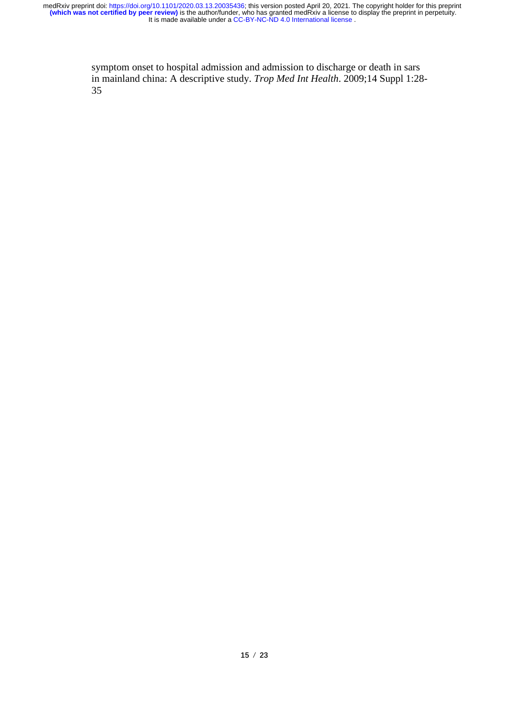> symptom onset to hospital admission and admission to discharge or death in sars in mainland china: A descriptive study. *Trop Med Int Health*. 2009;14 Suppl 1:28- 35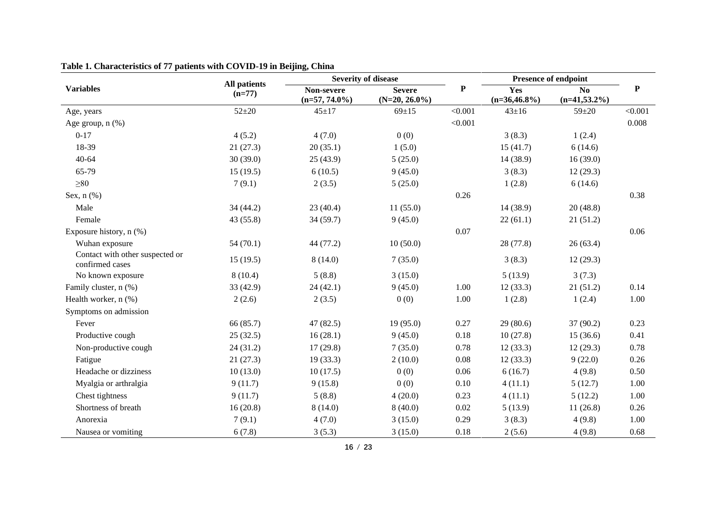|                                                    |                                 |                                | <b>Severity of disease</b>        |           |                        | Presence of endpoint              | ${\bf P}$ |
|----------------------------------------------------|---------------------------------|--------------------------------|-----------------------------------|-----------|------------------------|-----------------------------------|-----------|
| <b>Variables</b>                                   | <b>All patients</b><br>$(n=77)$ | Non-severe<br>$(n=57, 74.0\%)$ | <b>Severe</b><br>$(N=20, 26.0\%)$ | ${\bf P}$ | Yes<br>$(n=36,46.8\%)$ | N <sub>o</sub><br>$(n=41,53.2\%)$ |           |
| Age, years                                         | $52 + 20$                       | $45 + 17$                      | $69 \pm 15$                       | < 0.001   | $43 \pm 16$            | $59 + 20$                         | < 0.001   |
| Age group, $n$ $(\%)$                              |                                 |                                |                                   | < 0.001   |                        |                                   | 0.008     |
| $0 - 17$                                           | 4(5.2)                          | 4(7.0)                         | 0(0)                              |           | 3(8.3)                 | 1(2.4)                            |           |
| 18-39                                              | 21(27.3)                        | 20(35.1)                       | 1(5.0)                            |           | 15(41.7)               | 6(14.6)                           |           |
| $40 - 64$                                          | 30(39.0)                        | 25(43.9)                       | 5(25.0)                           |           | 14(38.9)               | 16(39.0)                          |           |
| 65-79                                              | 15(19.5)                        | 6(10.5)                        | 9(45.0)                           |           | 3(8.3)                 | 12(29.3)                          |           |
| $\geq 80$                                          | 7(9.1)                          | 2(3.5)                         | 5(25.0)                           |           | 1(2.8)                 | 6(14.6)                           |           |
| Sex, $n$ $(\%)$                                    |                                 |                                |                                   | 0.26      |                        |                                   | 0.38      |
| Male                                               | 34(44.2)                        | 23(40.4)                       | 11(55.0)                          |           | 14(38.9)               | 20(48.8)                          |           |
| Female                                             | 43 (55.8)                       | 34(59.7)                       | 9(45.0)                           |           | 22(61.1)               | 21(51.2)                          |           |
| Exposure history, $n$ (%)                          |                                 |                                |                                   | 0.07      |                        |                                   | 0.06      |
| Wuhan exposure                                     | 54(70.1)                        | 44 (77.2)                      | 10(50.0)                          |           | 28 (77.8)              | 26(63.4)                          |           |
| Contact with other suspected or<br>confirmed cases | 15(19.5)                        | 8(14.0)                        | 7(35.0)                           |           | 3(8.3)                 | 12(29.3)                          |           |
| No known exposure                                  | 8(10.4)                         | 5(8.8)                         | 3(15.0)                           |           | 5(13.9)                | 3(7.3)                            |           |
| Family cluster, n (%)                              | 33 (42.9)                       | 24(42.1)                       | 9(45.0)                           | 1.00      | 12(33.3)               | 21(51.2)                          | 0.14      |
| Health worker, n (%)                               | 2(2.6)                          | 2(3.5)                         | 0(0)                              | 1.00      | 1(2.8)                 | 1(2.4)                            | 1.00      |
| Symptoms on admission                              |                                 |                                |                                   |           |                        |                                   |           |
| Fever                                              | 66 (85.7)                       | 47(82.5)                       | 19(95.0)                          | 0.27      | 29(80.6)               | 37(90.2)                          | 0.23      |
| Productive cough                                   | 25(32.5)                        | 16(28.1)                       | 9(45.0)                           | 0.18      | 10(27.8)               | 15(36.6)                          | 0.41      |
| Non-productive cough                               | 24(31.2)                        | 17(29.8)                       | 7(35.0)                           | 0.78      | 12(33.3)               | 12(29.3)                          | 0.78      |
| Fatigue                                            | 21(27.3)                        | 19(33.3)                       | 2(10.0)                           | 0.08      | 12(33.3)               | 9(22.0)                           | 0.26      |
| Headache or dizziness                              | 10(13.0)                        | 10(17.5)                       | 0(0)                              | 0.06      | 6(16.7)                | 4(9.8)                            | 0.50      |
| Myalgia or arthralgia                              | 9(11.7)                         | 9(15.8)                        | 0(0)                              | 0.10      | 4(11.1)                | 5(12.7)                           | 1.00      |
| Chest tightness                                    | 9(11.7)                         | 5(8.8)                         | 4(20.0)                           | 0.23      | 4(11.1)                | 5(12.2)                           | 1.00      |
| Shortness of breath                                | 16(20.8)                        | 8(14.0)                        | 8(40.0)                           | 0.02      | 5(13.9)                | 11(26.8)                          | 0.26      |
| Anorexia                                           | 7(9.1)                          | 4(7.0)                         | 3(15.0)                           | 0.29      | 3(8.3)                 | 4(9.8)                            | 1.00      |
| Nausea or vomiting                                 | 6(7.8)                          | 3(5.3)                         | 3(15.0)                           | 0.18      | 2(5.6)                 | 4(9.8)                            | 0.68      |

# **Table 1. Characteristics of 77 patients with COVID-19 in Beijing, China**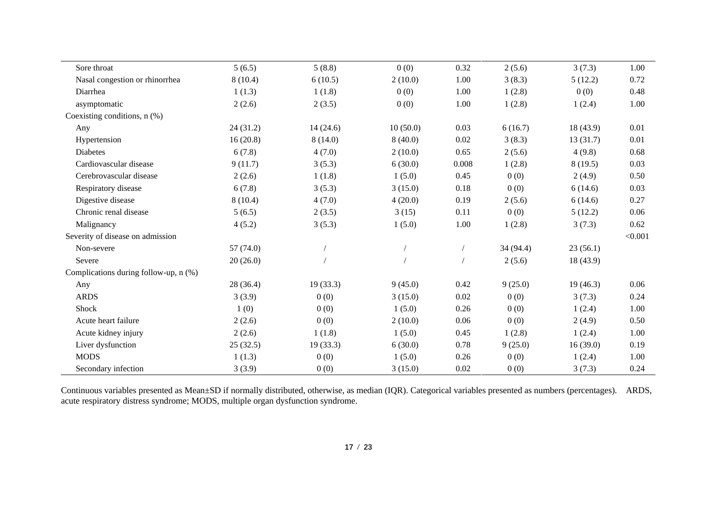| Sore throat                             | 5(6.5)    | 5(8.8)   | 0(0)     | 0.32  | 2(5.6)    | 3(7.3)    | 1.00    |
|-----------------------------------------|-----------|----------|----------|-------|-----------|-----------|---------|
| Nasal congestion or rhinorrhea          | 8(10.4)   | 6(10.5)  | 2(10.0)  | 1.00  | 3(8.3)    | 5(12.2)   | 0.72    |
| Diarrhea                                | 1(1.3)    | 1(1.8)   | 0(0)     | 1.00  | 1(2.8)    | 0(0)      | 0.48    |
| asymptomatic                            | 2(2.6)    | 2(3.5)   | 0(0)     | 1.00  | 1(2.8)    | 1(2.4)    | 1.00    |
| Coexisting conditions, n (%)            |           |          |          |       |           |           |         |
| Any                                     | 24(31.2)  | 14(24.6) | 10(50.0) | 0.03  | 6(16.7)   | 18(43.9)  | 0.01    |
| Hypertension                            | 16(20.8)  | 8(14.0)  | 8(40.0)  | 0.02  | 3(8.3)    | 13(31.7)  | 0.01    |
| <b>Diabetes</b>                         | 6(7.8)    | 4(7.0)   | 2(10.0)  | 0.65  | 2(5.6)    | 4(9.8)    | 0.68    |
| Cardiovascular disease                  | 9(11.7)   | 3(5.3)   | 6(30.0)  | 0.008 | 1(2.8)    | 8(19.5)   | 0.03    |
| Cerebrovascular disease                 | 2(2.6)    | 1(1.8)   | 1(5.0)   | 0.45  | 0(0)      | 2(4.9)    | 0.50    |
| Respiratory disease                     | 6(7.8)    | 3(5.3)   | 3(15.0)  | 0.18  | 0(0)      | 6(14.6)   | 0.03    |
| Digestive disease                       | 8(10.4)   | 4(7.0)   | 4(20.0)  | 0.19  | 2(5.6)    | 6(14.6)   | 0.27    |
| Chronic renal disease                   | 5(6.5)    | 2(3.5)   | 3(15)    | 0.11  | 0(0)      | 5(12.2)   | 0.06    |
| Malignancy                              | 4(5.2)    | 3(5.3)   | 1(5.0)   | 1.00  | 1(2.8)    | 3(7.3)    | 0.62    |
| Severity of disease on admission        |           |          |          |       |           |           | < 0.001 |
| Non-severe                              | 57 (74.0) |          |          |       | 34 (94.4) | 23(56.1)  |         |
| Severe                                  | 20(26.0)  |          |          |       | 2(5.6)    | 18 (43.9) |         |
| Complications during follow-up, $n$ (%) |           |          |          |       |           |           |         |
| Any                                     | 28 (36.4) | 19(33.3) | 9(45.0)  | 0.42  | 9(25.0)   | 19(46.3)  | 0.06    |
| <b>ARDS</b>                             | 3(3.9)    | 0(0)     | 3(15.0)  | 0.02  | 0(0)      | 3(7.3)    | 0.24    |
| Shock                                   | 1(0)      | 0(0)     | 1(5.0)   | 0.26  | 0(0)      | 1(2.4)    | 1.00    |
| Acute heart failure                     | 2(2.6)    | 0(0)     | 2(10.0)  | 0.06  | 0(0)      | 2(4.9)    | 0.50    |
| Acute kidney injury                     | 2(2.6)    | 1(1.8)   | 1(5.0)   | 0.45  | 1(2.8)    | 1(2.4)    | 1.00    |
| Liver dysfunction                       | 25(32.5)  | 19(33.3) | 6(30.0)  | 0.78  | 9(25.0)   | 16(39.0)  | 0.19    |
| <b>MODS</b>                             | 1(1.3)    | 0(0)     | 1(5.0)   | 0.26  | 0(0)      | 1(2.4)    | 1.00    |
| Secondary infection                     | 3(3.9)    | 0(0)     | 3(15.0)  | 0.02  | 0(0)      | 3(7.3)    | 0.24    |

Continuous variables presented as Mean±SD if normally distributed, otherwise, as median (IQR). Categorical variables presented as numbers (percentages). ARDS, acute respiratory distress syndrome; MODS, multiple organ dysfunction syndrome.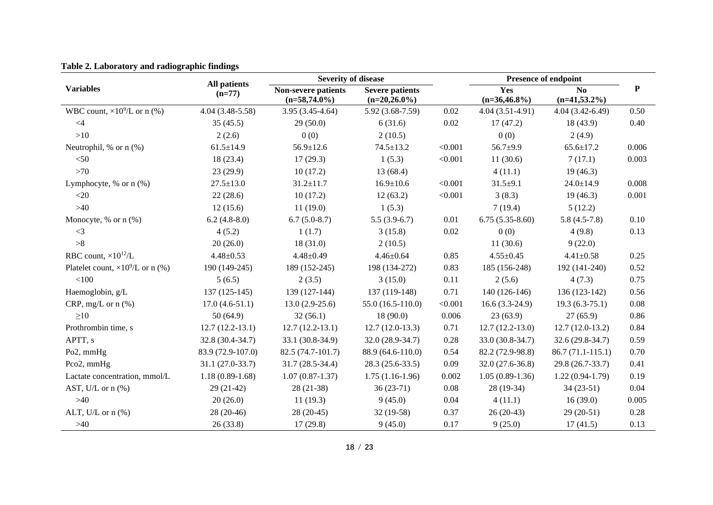|                                           |                          | <b>Severity of disease</b>             |                                           |         |                        | <b>Presence of endpoint</b> |           |
|-------------------------------------------|--------------------------|----------------------------------------|-------------------------------------------|---------|------------------------|-----------------------------|-----------|
| <b>Variables</b>                          | All patients<br>$(n=77)$ | Non-severe patients<br>$(n=58,74.0\%)$ | <b>Severe patients</b><br>$(n=20,26.0\%)$ |         | Yes<br>$(n=36,46.8\%)$ | No<br>$(n=41,53.2\%)$       | ${\bf P}$ |
| WBC count, $\times 10^9$ /L or n (%)      | $4.04(3.48-5.58)$        | $3.95(3.45-4.64)$                      | $5.92(3.68-7.59)$                         | 0.02    | $4.04(3.51-4.91)$      | $4.04(3.42-6.49)$           | 0.50      |
| $\leq$ 4                                  | 35(45.5)                 | 29(50.0)                               | 6(31.6)                                   | 0.02    | 17(47.2)               | 18(43.9)                    | 0.40      |
| $>10$                                     | 2(2.6)                   | 0(0)                                   | 2(10.5)                                   |         | 0(0)                   | 2(4.9)                      |           |
| Neutrophil, $%$ or n $(%$                 | $61.5 \pm 14.9$          | $56.9 \pm 12.6$                        | $74.5 \pm 13.2$                           | < 0.001 | $56.7 + 9.9$           | $65.6 \pm 17.2$             | 0.006     |
| $<$ 50                                    | 18(23.4)                 | 17(29.3)                               | 1(5.3)                                    | < 0.001 | 11(30.6)               | 7(17.1)                     | 0.003     |
| $>70$                                     | 23 (29.9)                | 10(17.2)                               | 13(68.4)                                  |         | 4(11.1)                | 19(46.3)                    |           |
| Lymphocyte, $%$ or $n$ $%$ )              | $27.5 \pm 13.0$          | $31.2 \pm 11.7$                        | $16.9 \pm 10.6$                           | < 0.001 | $31.5 \pm 9.1$         | $24.0 \pm 14.9$             | 0.008     |
| $<$ 20                                    | 22(28.6)                 | 10(17.2)                               | 12(63.2)                                  | < 0.001 | 3(8.3)                 | 19(46.3)                    | 0.001     |
| $>40$                                     | 12(15.6)                 | 11(19.0)                               | 1(5.3)                                    |         | 7(19.4)                | 5(12.2)                     |           |
| Monocyte, % or n (%)                      | $6.2(4.8-8.0)$           | $6.7(5.0-8.7)$                         | $5.5(3.9-6.7)$                            | 0.01    | $6.75(5.35-8.60)$      | $5.8(4.5-7.8)$              | 0.10      |
| $\leq$ 3                                  | 4(5.2)                   | 1(1.7)                                 | 3(15.8)                                   | 0.02    | 0(0)                   | 4(9.8)                      | 0.13      |
| >8                                        | 20(26.0)                 | 18(31.0)                               | 2(10.5)                                   |         | 11(30.6)               | 9(22.0)                     |           |
| RBC count, $\times 10^{12}/L$             | $4.48 \pm 0.53$          | $4.48 \pm 0.49$                        | $4.46 \pm 0.64$                           | 0.85    | $4.55 \pm 0.45$        | $4.41 \pm 0.58$             | 0.25      |
| Platelet count, $\times 10^9$ /L or n (%) | 190 (149-245)            | 189 (152-245)                          | 198 (134-272)                             | 0.83    | 185 (156-248)          | 192 (141-240)               | 0.52      |
| $<100$                                    | 5(6.5)                   | 2(3.5)                                 | 3(15.0)                                   | 0.11    | 2(5.6)                 | 4(7.3)                      | 0.75      |
| Haemoglobin, g/L                          | $137(125-145)$           | 139 (127-144)                          | 137 (119-148)                             | 0.71    | 140 (126-146)          | $136(123-142)$              | 0.56      |
| CRP, mg/L or $n$ (%)                      | $17.0(4.6-51.1)$         | $13.0(2.9-25.6)$                       | 55.0 (16.5-110.0)                         | < 0.001 | $16.6(3.3-24.9)$       | $19.3(6.3-75.1)$            | 0.08      |
| $\geq 10$                                 | 50(64.9)                 | 32(56.1)                               | 18(90.0)                                  | 0.006   | 23(63.9)               | 27(65.9)                    | 0.86      |
| Prothrombin time, s                       | $12.7(12.2-13.1)$        | $12.7(12.2-13.1)$                      | $12.7(12.0-13.3)$                         | 0.71    | $12.7(12.2-13.0)$      | $12.7(12.0-13.2)$           | 0.84      |
| APTT, s                                   | 32.8 (30.4-34.7)         | 33.1 (30.8-34.9)                       | $32.0(28.9-34.7)$                         | 0.28    | 33.0 (30.8-34.7)       | 32.6 (29.8-34.7)            | 0.59      |
| Po2, $mmHg$                               | 83.9 (72.9-107.0)        | 82.5 (74.7-101.7)                      | 88.9 (64.6-110.0)                         | 0.54    | 82.2 (72.9-98.8)       | $86.7(71.1-115.1)$          | 0.70      |
| Pco2, mmHg                                | $31.1(27.0-33.7)$        | $31.7(28.5-34.4)$                      | $28.3(25.6-33.5)$                         | 0.09    | $32.0(27.6-36.8)$      | 29.8 (26.7-33.7)            | 0.41      |
| Lactate concentration, mmol/L             | $1.18(0.89-1.68)$        | $1.07(0.87-1.37)$                      | $1.75(1.16-1.96)$                         | 0.002   | $1.05(0.89-1.36)$      | $1.22(0.94-1.79)$           | 0.19      |
| AST, U/L or $n$ $%$                       | $29(21-42)$              | $28(21-38)$                            | $36(23-71)$                               | 0.08    | 28 (19-34)             | $34(23-51)$                 | 0.04      |
| $>40$                                     | 20(26.0)                 | 11(19.3)                               | 9(45.0)                                   | 0.04    | 4(11.1)                | 16(39.0)                    | 0.005     |
| ALT, U/L or $n$ (%)                       | $28(20-46)$              | $28(20-45)$                            | $32(19-58)$                               | 0.37    | $26(20-43)$            | $29(20-51)$                 | 0.28      |
| $>40$                                     | 26(33.8)                 | 17(29.8)                               | 9(45.0)                                   | 0.17    | 9(25.0)                | 17(41.5)                    | 0.13      |

**Table 2. Laboratory and radiographic findings**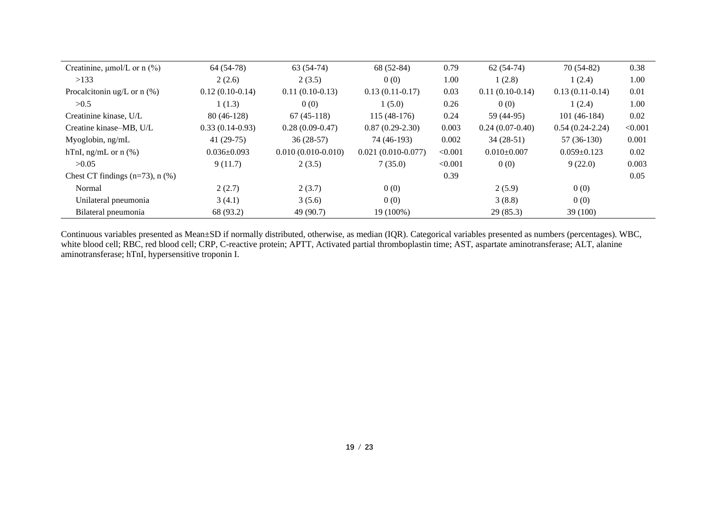| Creatinine, $\mu$ mol/L or n (%)      | 64 (54-78)        | $63(54-74)$          | 68 (52-84)           | 0.79    | $62(54-74)$       | $70(54-82)$       | 0.38    |
|---------------------------------------|-------------------|----------------------|----------------------|---------|-------------------|-------------------|---------|
| >133                                  | 2(2.6)            | 2(3.5)               | 0(0)                 | 1.00    | 1(2.8)            | 1(2.4)            | 1.00    |
| Procalcitonin ug/L or $n$ (%)         | $0.12(0.10-0.14)$ | $0.11(0.10-0.13)$    | $0.13(0.11-0.17)$    | 0.03    | $0.11(0.10-0.14)$ | $0.13(0.11-0.14)$ | 0.01    |
| >0.5                                  | 1(1.3)            | 0(0)                 | 1(5.0)               | 0.26    | 0(0)              | 1(2.4)            | 1.00    |
| Creatinine kinase, U/L                | $80(46-128)$      | $67(45-118)$         | $115(48-176)$        | 0.24    | 59 (44-95)        | $101(46-184)$     | 0.02    |
| Creatine kinase–MB, U/L               | $0.33(0.14-0.93)$ | $0.28(0.09-0.47)$    | $0.87(0.29-2.30)$    | 0.003   | $0.24(0.07-0.40)$ | $0.54(0.24-2.24)$ | < 0.001 |
| Myoglobin, ng/mL                      | 41 $(29-75)$      | $36(28-57)$          | 74 (46-193)          | 0.002   | $34(28-51)$       | $57(36-130)$      | 0.001   |
| hTnI, ng/mL or $n$ (%)                | $0.036 \pm 0.093$ | $0.010(0.010-0.010)$ | $0.021(0.010-0.077)$ | < 0.001 | $0.010\pm0.007$   | $0.059 \pm 0.123$ | 0.02    |
| >0.05                                 | 9(11.7)           | 2(3.5)               | 7(35.0)              | < 0.001 | 0(0)              | 9(22.0)           | 0.003   |
| Chest CT findings $(n=73)$ , n $(\%)$ |                   |                      |                      | 0.39    |                   |                   | 0.05    |
| Normal                                | 2(2.7)            | 2(3.7)               | 0(0)                 |         | 2(5.9)            | 0(0)              |         |
| Unilateral pneumonia                  | 3(4.1)            | 3(5.6)               | 0(0)                 |         | 3(8.8)            | 0(0)              |         |
| Bilateral pneumonia                   | 68 (93.2)         | 49 (90.7)            | 19 (100%)            |         | 29(85.3)          | 39 (100)          |         |

Continuous variables presented as Mean±SD if normally distributed, otherwise, as median (IQR). Categorical variables presented as numbers (percentages). WBC, white blood cell; RBC, red blood cell; CRP, C-reactive protein; APTT, Activated partial thromboplastin time; AST, aspartate aminotransferase; ALT, alanine aminotransferase; hTnI, hypersensitive troponin I.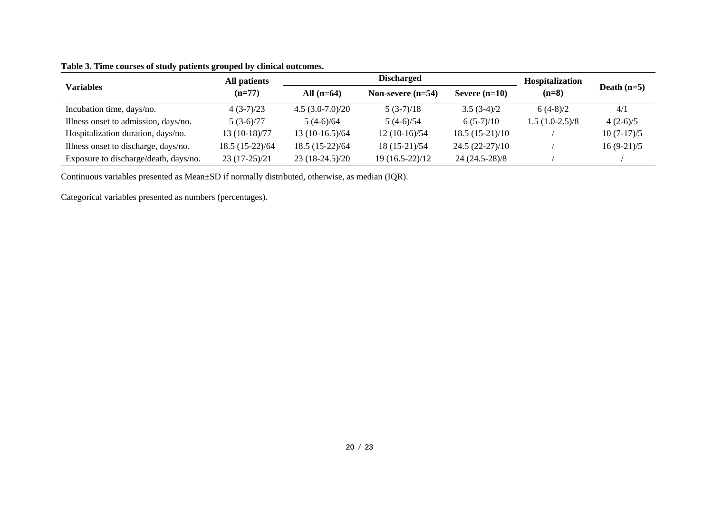|                                       | All patients    | <b>Discharged</b> |                     |                  | Hospitalization  |               |  |
|---------------------------------------|-----------------|-------------------|---------------------|------------------|------------------|---------------|--|
| Variables                             | $(n=77)$        | All $(n=64)$      | Non-severe $(n=54)$ | Severe $(n=10)$  | $(n=8)$          | Death $(n=5)$ |  |
| Incubation time, days/no.             | $4(3-7)/23$     | $4.5(3.0-7.0)/20$ | $5(3-7)/18$         | $3.5(3-4)/2$     | $6(4-8)/2$       | 4/1           |  |
| Illness onset to admission, days/no.  | $5(3-6)/77$     | $5(4-6)/64$       | $5(4-6)/54$         | $6(5-7)/10$      | $1.5(1.0-2.5)/8$ | $4(2-6)/5$    |  |
| Hospitalization duration, days/no.    | 13 (10-18)/77   | $13(10-16.5)/64$  | $12(10-16)/54$      | $18.5(15-21)/10$ |                  | $10(7-17)/5$  |  |
| Illness onset to discharge, days/no.  | 18.5 (15-22)/64 | $18.5(15-22)/64$  | $18(15-21)/54$      | $24.5(22-27)/10$ |                  | $16(9-21)/5$  |  |
| Exposure to discharge/death, days/no. | $23(17-25)/21$  | $23(18-24.5)/20$  | 19 (16.5-22)/12     | 24 (24.5-28)/8   |                  |               |  |

# **Table 3. Time courses of study patients grouped by clinical outcomes.**

Continuous variables presented as Mean±SD if normally distributed, otherwise, as median (IQR).

Categorical variables presented as numbers (percentages).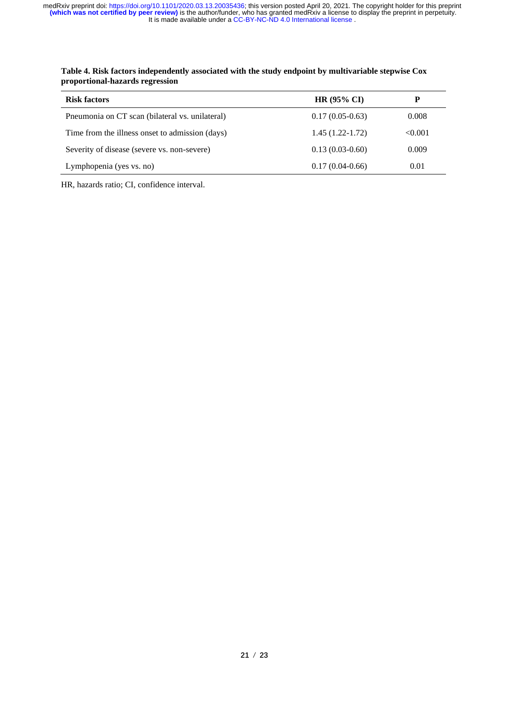| <b>Risk factors</b>                             | $HR (95\% CI)$      |         |
|-------------------------------------------------|---------------------|---------|
| Pneumonia on CT scan (bilateral vs. unilateral) | $0.17(0.05-0.63)$   | 0.008   |
| Time from the illness onset to admission (days) | $1.45(1.22 - 1.72)$ | < 0.001 |
| Severity of disease (severe vs. non-severe)     | $0.13(0.03-0.60)$   | 0.009   |
| Lymphopenia (yes vs. no)                        | $0.17(0.04-0.66)$   | 0.01    |

**Table 4. Risk factors independently associated with the study endpoint by multivariable stepwise Cox proportional-hazards regression**

HR, hazards ratio; CI, confidence interval.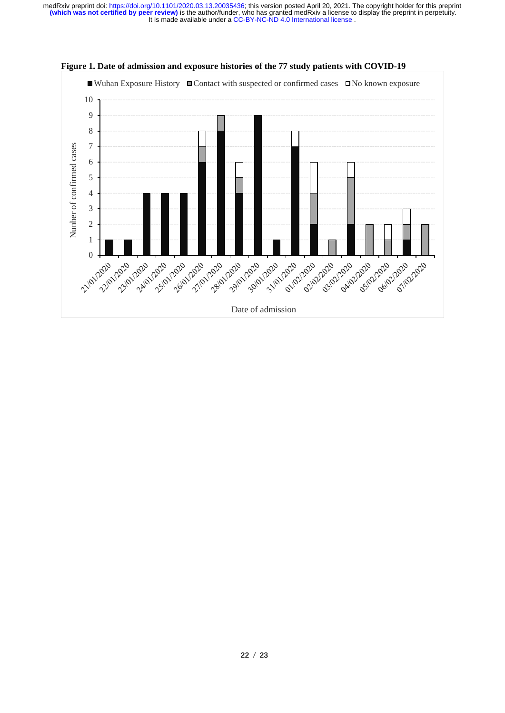